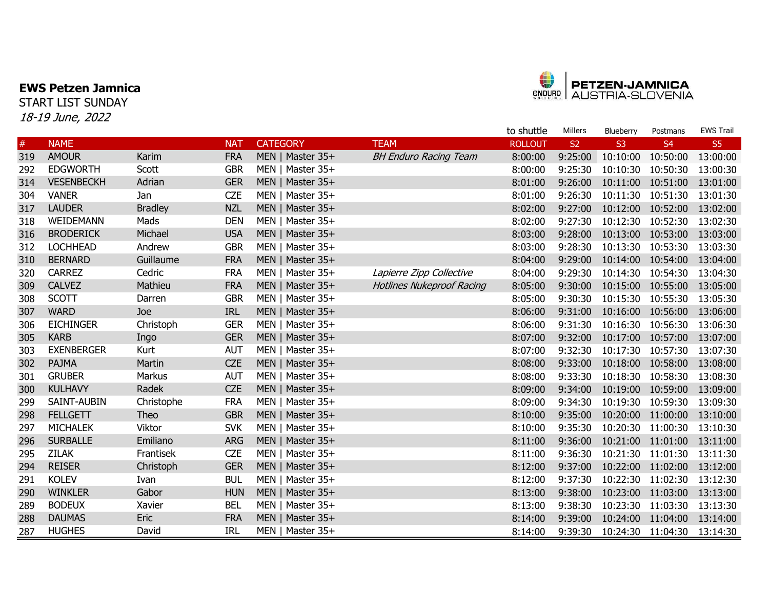## EWS Petzen Jamnica

START LIST SUNDAY 18-19 June, 2022



|     |                   |                |            |                  |                                  | to shuttle     | Millers   | Blueberry         | Postmans          | <b>EWS Trail</b> |
|-----|-------------------|----------------|------------|------------------|----------------------------------|----------------|-----------|-------------------|-------------------|------------------|
| #   | <b>NAME</b>       |                | <b>NAT</b> | <b>CATEGORY</b>  | <b>TEAM</b>                      | <b>ROLLOUT</b> | <b>S2</b> | S <sub>3</sub>    | S <sub>4</sub>    | S5               |
| 319 | <b>AMOUR</b>      | Karim          | <b>FRA</b> | MEN   Master 35+ | <b>BH Enduro Racing Team</b>     | 8:00:00        | 9:25:00   | 10:10:00 10:50:00 |                   | 13:00:00         |
| 292 | <b>EDGWORTH</b>   | Scott          | <b>GBR</b> | MEN   Master 35+ |                                  | 8:00:00        | 9:25:30   |                   | 10:10:30 10:50:30 | 13:00:30         |
| 314 | <b>VESENBECKH</b> | Adrian         | <b>GER</b> | MEN   Master 35+ |                                  | 8:01:00        | 9:26:00   | 10:11:00 10:51:00 |                   | 13:01:00         |
| 304 | <b>VANER</b>      | Jan            | <b>CZE</b> | MEN   Master 35+ |                                  | 8:01:00        | 9:26:30   | 10:11:30 10:51:30 |                   | 13:01:30         |
| 317 | <b>LAUDER</b>     | <b>Bradley</b> | <b>NZL</b> | MEN   Master 35+ |                                  | 8:02:00        | 9:27:00   | 10:12:00 10:52:00 |                   | 13:02:00         |
| 318 | WEIDEMANN         | Mads           | <b>DEN</b> | MEN   Master 35+ |                                  | 8:02:00        | 9:27:30   |                   | 10:12:30 10:52:30 | 13:02:30         |
| 316 | <b>BRODERICK</b>  | Michael        | <b>USA</b> | MEN   Master 35+ |                                  | 8:03:00        | 9:28:00   | 10:13:00 10:53:00 |                   | 13:03:00         |
| 312 | <b>LOCHHEAD</b>   | Andrew         | <b>GBR</b> | MEN   Master 35+ |                                  | 8:03:00        | 9:28:30   | 10:13:30          | 10:53:30          | 13:03:30         |
| 310 | <b>BERNARD</b>    | Guillaume      | <b>FRA</b> | MEN   Master 35+ |                                  | 8:04:00        | 9:29:00   | 10:14:00          | 10:54:00          | 13:04:00         |
| 320 | <b>CARREZ</b>     | Cedric         | <b>FRA</b> | MEN   Master 35+ | Lapierre Zipp Collective         | 8:04:00        | 9:29:30   | 10:14:30 10:54:30 |                   | 13:04:30         |
| 309 | <b>CALVEZ</b>     | Mathieu        | <b>FRA</b> | MEN   Master 35+ | <b>Hotlines Nukeproof Racing</b> | 8:05:00        | 9:30:00   | 10:15:00          | 10:55:00          | 13:05:00         |
| 308 | <b>SCOTT</b>      | Darren         | <b>GBR</b> | MEN   Master 35+ |                                  | 8:05:00        | 9:30:30   |                   | 10:15:30 10:55:30 | 13:05:30         |
| 307 | <b>WARD</b>       | Joe            | <b>IRL</b> | MEN   Master 35+ |                                  | 8:06:00        | 9:31:00   | 10:16:00 10:56:00 |                   | 13:06:00         |
| 306 | <b>EICHINGER</b>  | Christoph      | <b>GER</b> | MEN   Master 35+ |                                  | 8:06:00        | 9:31:30   | 10:16:30 10:56:30 |                   | 13:06:30         |
| 305 | <b>KARB</b>       | Ingo           | <b>GER</b> | MEN   Master 35+ |                                  | 8:07:00        | 9:32:00   | 10:17:00 10:57:00 |                   | 13:07:00         |
| 303 | <b>EXENBERGER</b> | Kurt           | <b>AUT</b> | MEN   Master 35+ |                                  | 8:07:00        | 9:32:30   | 10:17:30 10:57:30 |                   | 13:07:30         |
| 302 | PAJMA             | Martin         | <b>CZE</b> | MEN   Master 35+ |                                  | 8:08:00        | 9:33:00   | 10:18:00 10:58:00 |                   | 13:08:00         |
| 301 | <b>GRUBER</b>     | Markus         | <b>AUT</b> | MEN   Master 35+ |                                  | 8:08:00        | 9:33:30   | 10:18:30 10:58:30 |                   | 13:08:30         |
| 300 | <b>KULHAVY</b>    | Radek          | <b>CZE</b> | MEN   Master 35+ |                                  | 8:09:00        | 9:34:00   | 10:19:00 10:59:00 |                   | 13:09:00         |
| 299 | SAINT-AUBIN       | Christophe     | <b>FRA</b> | MEN   Master 35+ |                                  | 8:09:00        | 9:34:30   | 10:19:30 10:59:30 |                   | 13:09:30         |
| 298 | <b>FELLGETT</b>   | Theo           | <b>GBR</b> | MEN   Master 35+ |                                  | 8:10:00        | 9:35:00   | 10:20:00          | 11:00:00          | 13:10:00         |
| 297 | <b>MICHALEK</b>   | Viktor         | <b>SVK</b> | MEN   Master 35+ |                                  | 8:10:00        | 9:35:30   | 10:20:30          | 11:00:30          | 13:10:30         |
| 296 | <b>SURBALLE</b>   | Emiliano       | <b>ARG</b> | MEN   Master 35+ |                                  | 8:11:00        | 9:36:00   |                   | 10:21:00 11:01:00 | 13:11:00         |
| 295 | <b>ZILAK</b>      | Frantisek      | <b>CZE</b> | MEN   Master 35+ |                                  | 8:11:00        | 9:36:30   | 10:21:30          | 11:01:30          | 13:11:30         |
| 294 | <b>REISER</b>     | Christoph      | <b>GER</b> | MEN   Master 35+ |                                  | 8:12:00        | 9:37:00   | 10:22:00          | 11:02:00          | 13:12:00         |
| 291 | <b>KOLEV</b>      | Ivan           | <b>BUL</b> | MEN   Master 35+ |                                  | 8:12:00        | 9:37:30   | 10:22:30          | 11:02:30          | 13:12:30         |
| 290 | <b>WINKLER</b>    | Gabor          | <b>HUN</b> | MEN   Master 35+ |                                  | 8:13:00        | 9:38:00   | 10:23:00          | 11:03:00          | 13:13:00         |
| 289 | <b>BODEUX</b>     | Xavier         | <b>BEL</b> | MEN   Master 35+ |                                  | 8:13:00        | 9:38:30   | 10:23:30          | 11:03:30          | 13:13:30         |
| 288 | <b>DAUMAS</b>     | Eric           | <b>FRA</b> | MEN   Master 35+ |                                  | 8:14:00        | 9:39:00   | 10:24:00          | 11:04:00          | 13:14:00         |
| 287 | <b>HUGHES</b>     | David          | <b>IRL</b> | MEN   Master 35+ |                                  | 8:14:00        | 9:39:30   | 10:24:30 11:04:30 |                   | 13:14:30         |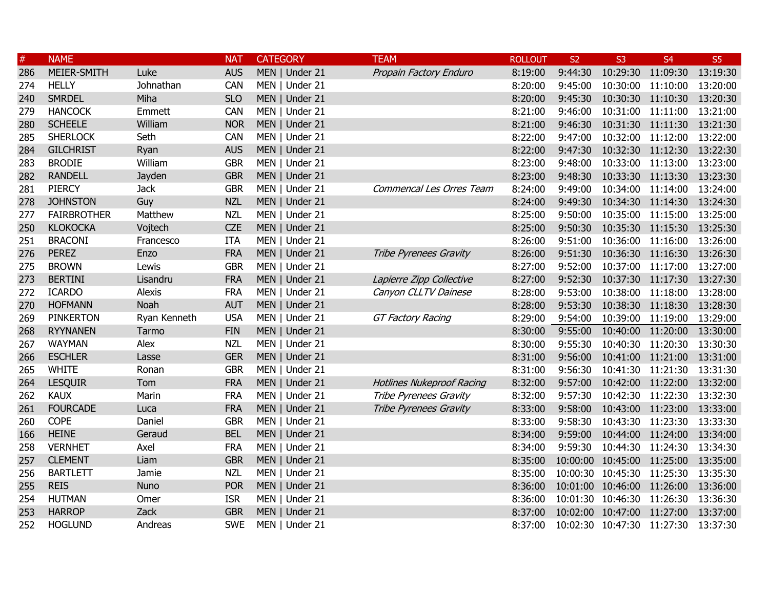| $\#$ | <b>NAME</b>        |              | <b>NAT</b> | <b>CATEGORY</b> | <b>TEAM</b>                      | <b>ROLLOUT</b> | S <sub>2</sub>    | S <sub>3</sub>             | S <sub>4</sub>             | S <sub>5</sub> |
|------|--------------------|--------------|------------|-----------------|----------------------------------|----------------|-------------------|----------------------------|----------------------------|----------------|
| 286  | MEIER-SMITH        | Luke         | <b>AUS</b> | MEN   Under 21  | Propain Factory Enduro           | 8:19:00        | 9:44:30           | 10:29:30 11:09:30          |                            | 13:19:30       |
| 274  | <b>HELLY</b>       | Johnathan    | CAN        | MEN   Under 21  |                                  | 8:20:00        | 9:45:00           | 10:30:00 11:10:00          |                            | 13:20:00       |
| 240  | <b>SMRDEL</b>      | Miha         | <b>SLO</b> | MEN   Under 21  |                                  | 8:20:00        | 9:45:30           | 10:30:30 11:10:30          |                            | 13:20:30       |
| 279  | <b>HANCOCK</b>     | Emmett       | <b>CAN</b> | MEN   Under 21  |                                  | 8:21:00        | 9:46:00           | 10:31:00 11:11:00          |                            | 13:21:00       |
| 280  | <b>SCHEELE</b>     | William      | <b>NOR</b> | MEN   Under 21  |                                  | 8:21:00        | 9:46:30           | 10:31:30 11:11:30          |                            | 13:21:30       |
| 285  | <b>SHERLOCK</b>    | Seth         | CAN        | MEN   Under 21  |                                  | 8:22:00        | 9:47:00           |                            | 10:32:00 11:12:00          | 13:22:00       |
| 284  | <b>GILCHRIST</b>   | Ryan         | <b>AUS</b> | MEN   Under 21  |                                  | 8:22:00        | 9:47:30           |                            | 10:32:30 11:12:30          | 13:22:30       |
| 283  | <b>BRODIE</b>      | William      | <b>GBR</b> | MEN   Under 21  |                                  | 8:23:00        | 9:48:00           |                            | 10:33:00 11:13:00 13:23:00 |                |
| 282  | <b>RANDELL</b>     | Jayden       | <b>GBR</b> | MEN   Under 21  |                                  | 8:23:00        | 9:48:30           |                            | 10:33:30 11:13:30 13:23:30 |                |
| 281  | <b>PIERCY</b>      | <b>Jack</b>  | <b>GBR</b> | MEN   Under 21  | Commencal Les Orres Team         | 8:24:00        | 9:49:00           |                            | 10:34:00 11:14:00 13:24:00 |                |
| 278  | <b>JOHNSTON</b>    | Guy          | <b>NZL</b> | MEN   Under 21  |                                  | 8:24:00        | 9:49:30           |                            | 10:34:30 11:14:30 13:24:30 |                |
| 277  | <b>FAIRBROTHER</b> | Matthew      | <b>NZL</b> | MEN   Under 21  |                                  | 8:25:00        | 9:50:00           |                            | 10:35:00 11:15:00 13:25:00 |                |
| 250  | <b>KLOKOCKA</b>    | Vojtech      | <b>CZE</b> | MEN   Under 21  |                                  | 8:25:00        | 9:50:30           |                            | 10:35:30 11:15:30 13:25:30 |                |
| 251  | <b>BRACONI</b>     | Francesco    | <b>ITA</b> | MEN   Under 21  |                                  | 8:26:00        | 9:51:00           |                            | 10:36:00 11:16:00 13:26:00 |                |
| 276  | <b>PEREZ</b>       | Enzo         | <b>FRA</b> | MEN   Under 21  | Tribe Pyrenees Gravity           | 8:26:00        | 9:51:30           |                            | 10:36:30 11:16:30 13:26:30 |                |
| 275  | <b>BROWN</b>       | Lewis        | <b>GBR</b> | MEN   Under 21  |                                  | 8:27:00        | 9:52:00           | 10:37:00 11:17:00          |                            | 13:27:00       |
| 273  | <b>BERTINI</b>     | Lisandru     | <b>FRA</b> | MEN   Under 21  | Lapierre Zipp Collective         | 8:27:00        | 9:52:30           | 10:37:30 11:17:30          |                            | 13:27:30       |
| 272  | <b>ICARDO</b>      | Alexis       | <b>FRA</b> | MEN   Under 21  | Canyon CLLTV Dainese             | 8:28:00        | 9:53:00           | 10:38:00 11:18:00          |                            | 13:28:00       |
| 270  | <b>HOFMANN</b>     | Noah         | <b>AUT</b> | MEN   Under 21  |                                  | 8:28:00        | 9:53:30           | 10:38:30 11:18:30          |                            | 13:28:30       |
| 269  | <b>PINKERTON</b>   | Ryan Kenneth | <b>USA</b> | MEN   Under 21  | <b>GT Factory Racing</b>         | 8:29:00        | 9:54:00           | 10:39:00 11:19:00          |                            | 13:29:00       |
| 268  | <b>RYYNANEN</b>    | Tarmo        | <b>FIN</b> | MEN   Under 21  |                                  | 8:30:00        | 9:55:00           | 10:40:00 11:20:00          |                            | 13:30:00       |
| 267  | <b>WAYMAN</b>      | Alex         | <b>NZL</b> | MEN   Under 21  |                                  | 8:30:00        | 9:55:30           | 10:40:30 11:20:30          |                            | 13:30:30       |
| 266  | <b>ESCHLER</b>     | Lasse        | <b>GER</b> | MEN   Under 21  |                                  | 8:31:00        | 9:56:00           | 10:41:00 11:21:00          |                            | 13:31:00       |
| 265  | <b>WHITE</b>       | Ronan        | <b>GBR</b> | MEN   Under 21  |                                  | 8:31:00        | 9:56:30           | 10:41:30 11:21:30          |                            | 13:31:30       |
| 264  | <b>LESQUIR</b>     | Tom          | <b>FRA</b> | MEN   Under 21  | <b>Hotlines Nukeproof Racing</b> | 8:32:00        | 9:57:00           | 10:42:00 11:22:00          |                            | 13:32:00       |
| 262  | <b>KAUX</b>        | Marin        | <b>FRA</b> | MEN   Under 21  | Tribe Pyrenees Gravity           | 8:32:00        | 9:57:30           | 10:42:30 11:22:30          |                            | 13:32:30       |
| 261  | <b>FOURCADE</b>    | Luca         | <b>FRA</b> | MEN   Under 21  | Tribe Pyrenees Gravity           | 8:33:00        | 9:58:00           | 10:43:00 11:23:00          |                            | 13:33:00       |
| 260  | <b>COPE</b>        | Daniel       | <b>GBR</b> | MEN   Under 21  |                                  | 8:33:00        | 9:58:30           | 10:43:30 11:23:30          |                            | 13:33:30       |
| 166  | <b>HEINE</b>       | Geraud       | <b>BEL</b> | MEN   Under 21  |                                  | 8:34:00        | 9:59:00           | 10:44:00 11:24:00          |                            | 13:34:00       |
| 258  | <b>VERNHET</b>     | Axel         | <b>FRA</b> | MEN   Under 21  |                                  | 8:34:00        | 9:59:30           | 10:44:30 11:24:30          |                            | 13:34:30       |
| 257  | <b>CLEMENT</b>     | Liam         | <b>GBR</b> | MEN   Under 21  |                                  | 8:35:00        |                   | 10:00:00 10:45:00 11:25:00 |                            | 13:35:00       |
| 256  | <b>BARTLETT</b>    | Jamie        | <b>NZL</b> | MEN   Under 21  |                                  | 8:35:00        |                   | 10:00:30 10:45:30 11:25:30 |                            | 13:35:30       |
| 255  | <b>REIS</b>        | Nuno         | <b>POR</b> | MEN   Under 21  |                                  | 8:36:00        |                   | 10:01:00 10:46:00 11:26:00 |                            | 13:36:00       |
| 254  | <b>HUTMAN</b>      | Omer         | <b>ISR</b> | MEN   Under 21  |                                  | 8:36:00        |                   | 10:01:30 10:46:30 11:26:30 |                            | 13:36:30       |
| 253  | <b>HARROP</b>      | Zack         | <b>GBR</b> | MEN   Under 21  |                                  | 8:37:00        |                   | 10:02:00 10:47:00 11:27:00 |                            | 13:37:00       |
| 252  | <b>HOGLUND</b>     | Andreas      | <b>SWE</b> | MEN   Under 21  |                                  | 8:37:00        | 10:02:30 10:47:30 |                            | 11:27:30                   | 13:37:30       |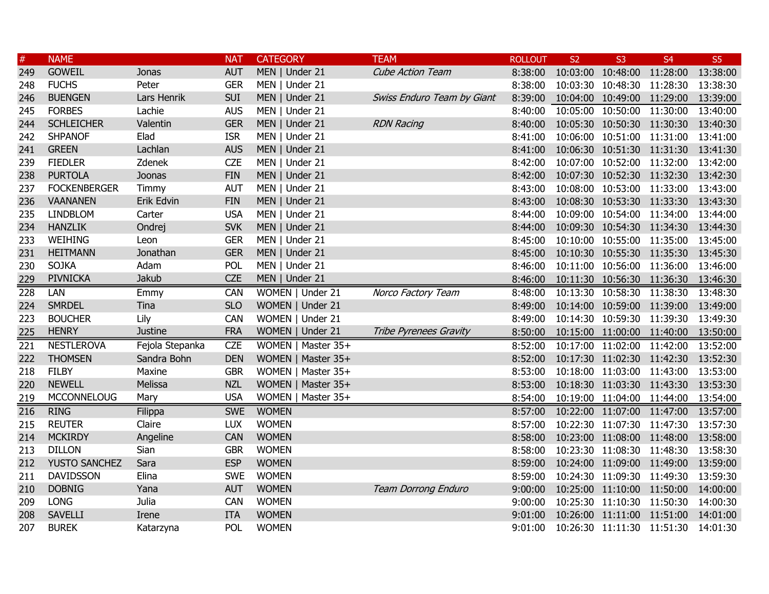| $\#$ | <b>NAME</b>         |                 | <b>NAT</b> | <b>CATEGORY</b>    | <b>TEAM</b>                | <b>ROLLOUT</b> | <b>S2</b> | S <sub>3</sub>             | S <sub>4</sub>                                  | S <sub>5</sub> |
|------|---------------------|-----------------|------------|--------------------|----------------------------|----------------|-----------|----------------------------|-------------------------------------------------|----------------|
| 249  | <b>GOWEIL</b>       | Jonas           | <b>AUT</b> | MEN   Under 21     | <b>Cube Action Team</b>    | 8:38:00        |           | 10:03:00 10:48:00 11:28:00 |                                                 | 13:38:00       |
| 248  | <b>FUCHS</b>        | Peter           | <b>GER</b> | MEN   Under 21     |                            | 8:38:00        |           | 10:03:30 10:48:30 11:28:30 |                                                 | 13:38:30       |
| 246  | <b>BUENGEN</b>      | Lars Henrik     | <b>SUI</b> | MEN   Under 21     | Swiss Enduro Team by Giant | 8:39:00        |           | 10:04:00 10:49:00 11:29:00 |                                                 | 13:39:00       |
| 245  | <b>FORBES</b>       | Lachie          | <b>AUS</b> | MEN   Under 21     |                            | 8:40:00        |           | 10:05:00 10:50:00 11:30:00 |                                                 | 13:40:00       |
| 244  | <b>SCHLEICHER</b>   | Valentin        | <b>GER</b> | MEN   Under 21     | <b>RDN Racing</b>          | 8:40:00        |           |                            | 10:05:30 10:50:30 11:30:30                      | 13:40:30       |
| 242  | <b>SHPANOF</b>      | Elad            | <b>ISR</b> | MEN   Under 21     |                            | 8:41:00        |           | 10:06:00 10:51:00 11:31:00 |                                                 | 13:41:00       |
| 241  | <b>GREEN</b>        | Lachlan         | <b>AUS</b> | MEN   Under 21     |                            | 8:41:00        |           |                            | 10:06:30 10:51:30 11:31:30                      | 13:41:30       |
| 239  | <b>FIEDLER</b>      | Zdenek          | <b>CZE</b> | MEN   Under 21     |                            | 8:42:00        |           | 10:07:00 10:52:00 11:32:00 |                                                 | 13:42:00       |
| 238  | <b>PURTOLA</b>      | Joonas          | <b>FIN</b> | MEN   Under 21     |                            | 8:42:00        |           |                            | 10:07:30 10:52:30 11:32:30 13:42:30             |                |
| 237  | <b>FOCKENBERGER</b> | Timmy           | <b>AUT</b> | MEN   Under 21     |                            | 8:43:00        |           |                            | 10:08:00 10:53:00 11:33:00 13:43:00             |                |
| 236  | <b>VAANANEN</b>     | Erik Edvin      | <b>FIN</b> | MEN   Under 21     |                            | 8:43:00        |           | 10:08:30 10:53:30 11:33:30 |                                                 | 13:43:30       |
| 235  | <b>LINDBLOM</b>     | Carter          | <b>USA</b> | MEN   Under 21     |                            | 8:44:00        |           | 10:09:00 10:54:00 11:34:00 |                                                 | 13:44:00       |
| 234  | <b>HANZLIK</b>      | Ondrej          | <b>SVK</b> | MEN   Under 21     |                            | 8:44:00        |           | 10:09:30 10:54:30 11:34:30 |                                                 | 13:44:30       |
| 233  | WEIHING             | Leon            | <b>GER</b> | MEN   Under 21     |                            | 8:45:00        |           |                            | 10:10:00 10:55:00 11:35:00                      | 13:45:00       |
| 231  | <b>HEITMANN</b>     | Jonathan        | <b>GER</b> | MEN   Under 21     |                            | 8:45:00        |           | 10:10:30 10:55:30 11:35:30 |                                                 | 13:45:30       |
| 230  | <b>SOJKA</b>        | Adam            | POL        | MEN   Under 21     |                            | 8:46:00        |           | 10:11:00 10:56:00 11:36:00 |                                                 | 13:46:00       |
| 229  | <b>PIVNICKA</b>     | Jakub           | <b>CZE</b> | MEN   Under 21     |                            | 8:46:00        |           | 10:11:30 10:56:30 11:36:30 |                                                 | 13:46:30       |
| 228  | LAN                 | Emmy            | CAN        | WOMEN   Under 21   | Norco Factory Team         | 8:48:00        |           | 10:13:30 10:58:30 11:38:30 |                                                 | 13:48:30       |
| 224  | <b>SMRDEL</b>       | Tina            | <b>SLO</b> | WOMEN   Under 21   |                            | 8:49:00        |           |                            | 10:14:00 10:59:00 11:39:00 13:49:00             |                |
| 223  | <b>BOUCHER</b>      | Lily            | CAN        | WOMEN   Under 21   |                            | 8:49:00        |           |                            | 10:14:30 10:59:30 11:39:30 13:49:30             |                |
| 225  | <b>HENRY</b>        | <b>Justine</b>  | <b>FRA</b> | WOMEN   Under 21   | Tribe Pyrenees Gravity     | 8:50:00        |           |                            | 10:15:00 11:00:00 11:40:00 13:50:00             |                |
| 221  | <b>NESTLEROVA</b>   | Fejola Stepanka | <b>CZE</b> | WOMEN   Master 35+ |                            | 8:52:00        |           | 10:17:00 11:02:00 11:42:00 |                                                 | 13:52:00       |
| 222  | <b>THOMSEN</b>      | Sandra Bohn     | <b>DEN</b> | WOMEN   Master 35+ |                            | 8:52:00        |           | 10:17:30 11:02:30 11:42:30 |                                                 | 13:52:30       |
| 218  | <b>FILBY</b>        | Maxine          | <b>GBR</b> | WOMEN   Master 35+ |                            | 8:53:00        |           | 10:18:00 11:03:00 11:43:00 |                                                 | 13:53:00       |
| 220  | <b>NEWELL</b>       | Melissa         | <b>NZL</b> | WOMEN   Master 35+ |                            | 8:53:00        |           |                            | 10:18:30 11:03:30 11:43:30                      | 13:53:30       |
| 219  | <b>MCCONNELOUG</b>  | Mary            | <b>USA</b> | WOMEN   Master 35+ |                            | 8:54:00        |           | 10:19:00 11:04:00 11:44:00 |                                                 | 13:54:00       |
| 216  | <b>RING</b>         | Filippa         | <b>SWE</b> | <b>WOMEN</b>       |                            | 8:57:00        |           | 10:22:00 11:07:00 11:47:00 |                                                 | 13:57:00       |
| 215  | <b>REUTER</b>       | Claire          | <b>LUX</b> | <b>WOMEN</b>       |                            | 8:57:00        |           |                            | 10:22:30 11:07:30 11:47:30 13:57:30             |                |
| 214  | <b>MCKIRDY</b>      | Angeline        | <b>CAN</b> | <b>WOMEN</b>       |                            | 8:58:00        |           |                            | 10:23:00 11:08:00 11:48:00 13:58:00             |                |
| 213  | <b>DILLON</b>       | Sian            | <b>GBR</b> | <b>WOMEN</b>       |                            |                |           |                            | 8:58:00 10:23:30 11:08:30 11:48:30 13:58:30     |                |
| 212  | YUSTO SANCHEZ       | Sara            | <b>ESP</b> | <b>WOMEN</b>       |                            | 8:59:00        |           |                            | 10:24:00 11:09:00 11:49:00 13:59:00             |                |
| 211  | <b>DAVIDSSON</b>    | Elina           | <b>SWE</b> | <b>WOMEN</b>       |                            |                |           |                            | 8:59:00 10:24:30 11:09:30 11:49:30 13:59:30     |                |
| 210  | <b>DOBNIG</b>       | Yana            | <b>AUT</b> | <b>WOMEN</b>       | Team Dorrong Enduro        | 9:00:00        |           |                            | 10:25:00 11:10:00 11:50:00 14:00:00             |                |
| 209  | <b>LONG</b>         | Julia           | <b>CAN</b> | <b>WOMEN</b>       |                            | 9:00:00        |           |                            | 10:25:30 11:10:30 11:50:30 14:00:30             |                |
| 208  | <b>SAVELLI</b>      | Irene           | <b>ITA</b> | <b>WOMEN</b>       |                            |                |           |                            | 9:01:00  10:26:00  11:11:00  11:51:00  14:01:00 |                |
| 207  | <b>BUREK</b>        | Katarzyna       | POL        | <b>WOMEN</b>       |                            |                |           |                            | 9:01:00  10:26:30  11:11:30  11:51:30  14:01:30 |                |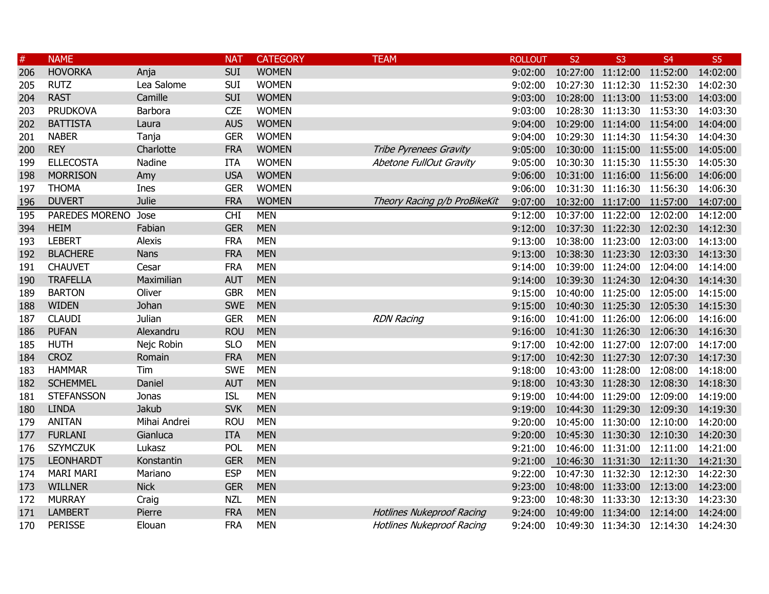| $\#$ | <b>NAME</b>         |               | <b>NAT</b> | <b>CATEGORY</b> | <b>TEAM</b>                      | <b>ROLLOUT</b> | <b>S2</b>                  | S <sub>3</sub>             | S <sub>4</sub>                      | S <sub>5</sub> |
|------|---------------------|---------------|------------|-----------------|----------------------------------|----------------|----------------------------|----------------------------|-------------------------------------|----------------|
| 206  | <b>HOVORKA</b>      | Anja          | <b>SUI</b> | <b>WOMEN</b>    |                                  | 9:02:00        |                            | 10:27:00 11:12:00 11:52:00 |                                     | 14:02:00       |
| 205  | <b>RUTZ</b>         | Lea Salome    | <b>SUI</b> | <b>WOMEN</b>    |                                  | 9:02:00        |                            | 10:27:30 11:12:30 11:52:30 |                                     | 14:02:30       |
| 204  | <b>RAST</b>         | Camille       | <b>SUI</b> | <b>WOMEN</b>    |                                  | 9:03:00        |                            | 10:28:00 11:13:00 11:53:00 |                                     | 14:03:00       |
| 203  | <b>PRUDKOVA</b>     | Barbora       | <b>CZE</b> | <b>WOMEN</b>    |                                  | 9:03:00        |                            | 10:28:30 11:13:30 11:53:30 |                                     | 14:03:30       |
| 202  | <b>BATTISTA</b>     | Laura         | <b>AUS</b> | <b>WOMEN</b>    |                                  | 9:04:00        |                            | 10:29:00 11:14:00 11:54:00 |                                     | 14:04:00       |
| 201  | <b>NABER</b>        | Tanja         | <b>GER</b> | <b>WOMEN</b>    |                                  | 9:04:00        |                            | 10:29:30 11:14:30 11:54:30 |                                     | 14:04:30       |
| 200  | <b>REY</b>          | Charlotte     | <b>FRA</b> | <b>WOMEN</b>    | Tribe Pyrenees Gravity           | 9:05:00        |                            | 10:30:00 11:15:00 11:55:00 |                                     | 14:05:00       |
| 199  | <b>ELLECOSTA</b>    | Nadine        | <b>ITA</b> | <b>WOMEN</b>    | Abetone FullOut Gravity          | 9:05:00        |                            | 10:30:30 11:15:30 11:55:30 |                                     | 14:05:30       |
| 198  | <b>MORRISON</b>     | Amy           | <b>USA</b> | <b>WOMEN</b>    |                                  | 9:06:00        |                            | 10:31:00 11:16:00 11:56:00 |                                     | 14:06:00       |
| 197  | <b>THOMA</b>        | Ines          | <b>GER</b> | <b>WOMEN</b>    |                                  | 9:06:00        |                            | 10:31:30 11:16:30 11:56:30 |                                     | 14:06:30       |
| 196  | <b>DUVERT</b>       | <b>Julie</b>  | <b>FRA</b> | <b>WOMEN</b>    | Theory Racing p/b ProBikeKit     | 9:07:00        |                            | 10:32:00 11:17:00 11:57:00 |                                     | 14:07:00       |
| 195  | PAREDES MORENO Jose |               | <b>CHI</b> | <b>MEN</b>      |                                  | 9:12:00        |                            | 10:37:00 11:22:00 12:02:00 |                                     | 14:12:00       |
| 394  | <b>HEIM</b>         | Fabian        | <b>GER</b> | <b>MEN</b>      |                                  | 9:12:00        |                            | 10:37:30 11:22:30 12:02:30 |                                     | 14:12:30       |
| 193  | <b>LEBERT</b>       | <b>Alexis</b> | <b>FRA</b> | <b>MEN</b>      |                                  | 9:13:00        |                            | 10:38:00 11:23:00 12:03:00 |                                     | 14:13:00       |
| 192  | <b>BLACHERE</b>     | <b>Nans</b>   | <b>FRA</b> | <b>MEN</b>      |                                  | 9:13:00        |                            |                            | 10:38:30 11:23:30 12:03:30 14:13:30 |                |
| 191  | <b>CHAUVET</b>      | Cesar         | <b>FRA</b> | <b>MEN</b>      |                                  | 9:14:00        |                            | 10:39:00 11:24:00 12:04:00 |                                     | 14:14:00       |
| 190  | <b>TRAFELLA</b>     | Maximilian    | <b>AUT</b> | <b>MEN</b>      |                                  | 9:14:00        |                            | 10:39:30 11:24:30 12:04:30 |                                     | 14:14:30       |
| 189  | <b>BARTON</b>       | Oliver        | <b>GBR</b> | <b>MEN</b>      |                                  | 9:15:00        |                            | 10:40:00 11:25:00 12:05:00 |                                     | 14:15:00       |
| 188  | <b>WIDEN</b>        | Johan         | <b>SWE</b> | <b>MEN</b>      |                                  | 9:15:00        |                            | 10:40:30 11:25:30 12:05:30 |                                     | 14:15:30       |
| 187  | <b>CLAUDI</b>       | Julian        | <b>GER</b> | <b>MEN</b>      | <b>RDN Racing</b>                | 9:16:00        |                            | 10:41:00 11:26:00 12:06:00 |                                     | 14:16:00       |
| 186  | <b>PUFAN</b>        | Alexandru     | <b>ROU</b> | <b>MEN</b>      |                                  | 9:16:00        |                            | 10:41:30 11:26:30 12:06:30 |                                     | 14:16:30       |
| 185  | <b>HUTH</b>         | Nejc Robin    | <b>SLO</b> | <b>MEN</b>      |                                  | 9:17:00        |                            | 10:42:00 11:27:00 12:07:00 |                                     | 14:17:00       |
| 184  | <b>CROZ</b>         | Romain        | <b>FRA</b> | <b>MEN</b>      |                                  | 9:17:00        |                            | 10:42:30 11:27:30 12:07:30 |                                     | 14:17:30       |
| 183  | <b>HAMMAR</b>       | Tim           | <b>SWE</b> | <b>MEN</b>      |                                  | 9:18:00        |                            | 10:43:00 11:28:00 12:08:00 |                                     | 14:18:00       |
| 182  | <b>SCHEMMEL</b>     | Daniel        | <b>AUT</b> | <b>MEN</b>      |                                  | 9:18:00        |                            | 10:43:30 11:28:30 12:08:30 |                                     | 14:18:30       |
| 181  | <b>STEFANSSON</b>   | Jonas         | <b>ISL</b> | <b>MEN</b>      |                                  | 9:19:00        |                            | 10:44:00 11:29:00 12:09:00 |                                     | 14:19:00       |
| 180  | <b>LINDA</b>        | Jakub         | <b>SVK</b> | <b>MEN</b>      |                                  | 9:19:00        | 10:44:30 11:29:30 12:09:30 |                            |                                     | 14:19:30       |
| 179  | <b>ANITAN</b>       | Mihai Andrei  | <b>ROU</b> | <b>MEN</b>      |                                  | 9:20:00        |                            | 10:45:00 11:30:00 12:10:00 |                                     | 14:20:00       |
| 177  | <b>FURLANI</b>      | Gianluca      | <b>ITA</b> | <b>MEN</b>      |                                  | 9:20:00        | 10:45:30 11:30:30 12:10:30 |                            |                                     | 14:20:30       |
| 176  | <b>SZYMCZUK</b>     | Lukasz        | POL        | <b>MEN</b>      |                                  | 9:21:00        |                            | 10:46:00 11:31:00 12:11:00 |                                     | 14:21:00       |
| 175  | <b>LEONHARDT</b>    | Konstantin    | <b>GER</b> | <b>MEN</b>      |                                  | 9:21:00        | 10:46:30 11:31:30 12:11:30 |                            |                                     | 14:21:30       |
| 174  | <b>MARI MARI</b>    | Mariano       | <b>ESP</b> | <b>MEN</b>      |                                  | 9:22:00        | 10:47:30 11:32:30 12:12:30 |                            |                                     | 14:22:30       |
| 173  | <b>WILLNER</b>      | <b>Nick</b>   | <b>GER</b> | <b>MEN</b>      |                                  | 9:23:00        | 10:48:00 11:33:00 12:13:00 |                            |                                     | 14:23:00       |
| 172  | <b>MURRAY</b>       | Craig         | <b>NZL</b> | <b>MEN</b>      |                                  | 9:23:00        |                            | 10:48:30 11:33:30 12:13:30 |                                     | 14:23:30       |
| 171  | <b>LAMBERT</b>      | Pierre        | <b>FRA</b> | <b>MEN</b>      | <b>Hotlines Nukeproof Racing</b> | 9:24:00        |                            |                            | 10:49:00 11:34:00 12:14:00 14:24:00 |                |
| 170  | <b>PERISSE</b>      | Elouan        | <b>FRA</b> | <b>MEN</b>      | <b>Hotlines Nukeproof Racing</b> | 9:24:00        | 10:49:30 11:34:30 12:14:30 |                            |                                     | 14:24:30       |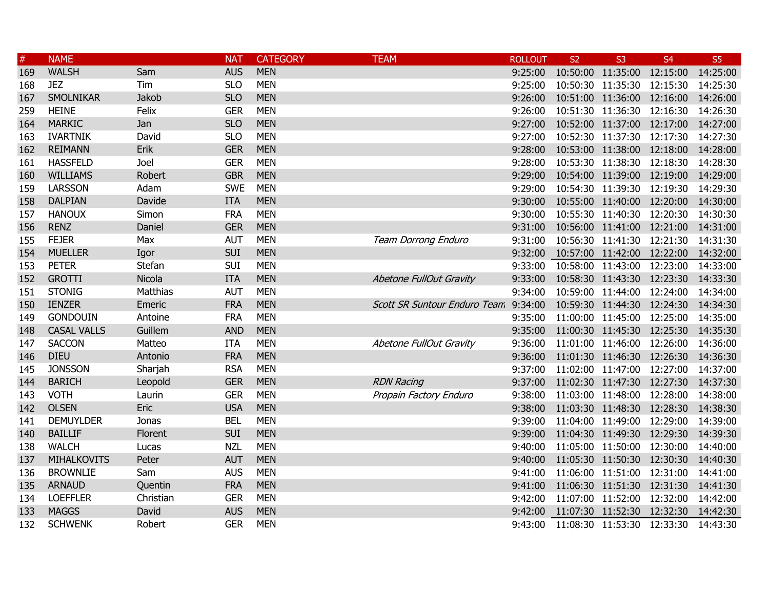| $\#$ | <b>NAME</b>        |                 | <b>NAT</b> | <b>CATEGORY</b> | <b>TEAM</b>                           | <b>ROLLOUT</b> | <b>S2</b>                          | S <sub>3</sub>             | S <sub>4</sub> | S <sub>5</sub> |
|------|--------------------|-----------------|------------|-----------------|---------------------------------------|----------------|------------------------------------|----------------------------|----------------|----------------|
| 169  | <b>WALSH</b>       | Sam             | <b>AUS</b> | <b>MEN</b>      |                                       | 9:25:00        |                                    | 10:50:00 11:35:00 12:15:00 |                | 14:25:00       |
| 168  | <b>JEZ</b>         | Tim             | <b>SLO</b> | <b>MEN</b>      |                                       | 9:25:00        |                                    | 10:50:30 11:35:30 12:15:30 |                | 14:25:30       |
| 167  | <b>SMOLNIKAR</b>   | Jakob           | <b>SLO</b> | <b>MEN</b>      |                                       | 9:26:00        |                                    | 10:51:00 11:36:00 12:16:00 |                | 14:26:00       |
| 259  | <b>HEINE</b>       | Felix           | <b>GER</b> | <b>MEN</b>      |                                       | 9:26:00        |                                    | 10:51:30 11:36:30 12:16:30 |                | 14:26:30       |
| 164  | <b>MARKIC</b>      | Jan             | <b>SLO</b> | <b>MEN</b>      |                                       | 9:27:00        |                                    | 10:52:00 11:37:00 12:17:00 |                | 14:27:00       |
| 163  | <b>IVARTNIK</b>    | David           | <b>SLO</b> | <b>MEN</b>      |                                       | 9:27:00        |                                    | 10:52:30 11:37:30 12:17:30 |                | 14:27:30       |
| 162  | <b>REIMANN</b>     | Erik            | <b>GER</b> | <b>MEN</b>      |                                       | 9:28:00        |                                    | 10:53:00 11:38:00 12:18:00 |                | 14:28:00       |
| 161  | <b>HASSFELD</b>    | Joel            | <b>GER</b> | <b>MEN</b>      |                                       | 9:28:00        |                                    | 10:53:30 11:38:30 12:18:30 |                | 14:28:30       |
| 160  | <b>WILLIAMS</b>    | Robert          | <b>GBR</b> | <b>MEN</b>      |                                       | 9:29:00        |                                    | 10:54:00 11:39:00 12:19:00 |                | 14:29:00       |
| 159  | <b>LARSSON</b>     | Adam            | <b>SWE</b> | <b>MEN</b>      |                                       | 9:29:00        |                                    | 10:54:30 11:39:30 12:19:30 |                | 14:29:30       |
| 158  | <b>DALPIAN</b>     | Davide          | <b>ITA</b> | <b>MEN</b>      |                                       | 9:30:00        |                                    | 10:55:00 11:40:00 12:20:00 |                | 14:30:00       |
| 157  | <b>HANOUX</b>      | Simon           | <b>FRA</b> | <b>MEN</b>      |                                       | 9:30:00        |                                    | 10:55:30 11:40:30 12:20:30 |                | 14:30:30       |
| 156  | <b>RENZ</b>        | Daniel          | <b>GER</b> | <b>MEN</b>      |                                       | 9:31:00        |                                    | 10:56:00 11:41:00 12:21:00 |                | 14:31:00       |
| 155  | <b>FEJER</b>       | Max             | <b>AUT</b> | <b>MEN</b>      | Team Dorrong Enduro                   | 9:31:00        |                                    | 10:56:30 11:41:30 12:21:30 |                | 14:31:30       |
| 154  | <b>MUELLER</b>     | Igor            | <b>SUI</b> | <b>MEN</b>      |                                       |                | 9:32:00 10:57:00 11:42:00 12:22:00 |                            |                | 14:32:00       |
| 153  | <b>PETER</b>       | Stefan          | SUI        | <b>MEN</b>      |                                       |                | 9:33:00 10:58:00 11:43:00 12:23:00 |                            |                | 14:33:00       |
| 152  | <b>GROTTI</b>      | Nicola          | <b>ITA</b> | <b>MEN</b>      | Abetone FullOut Gravity               | 9:33:00        |                                    | 10:58:30 11:43:30 12:23:30 |                | 14:33:30       |
| 151  | <b>STONIG</b>      | <b>Matthias</b> | <b>AUT</b> | <b>MEN</b>      |                                       | 9:34:00        |                                    | 10:59:00 11:44:00 12:24:00 |                | 14:34:00       |
| 150  | <b>IENZER</b>      | Emeric          | <b>FRA</b> | <b>MEN</b>      | Scott SR Suntour Enduro Team. 9:34:00 |                |                                    | 10:59:30 11:44:30 12:24:30 |                | 14:34:30       |
| 149  | <b>GONDOUIN</b>    | Antoine         | <b>FRA</b> | <b>MEN</b>      |                                       | 9:35:00        |                                    | 11:00:00 11:45:00 12:25:00 |                | 14:35:00       |
| 148  | <b>CASAL VALLS</b> | Guillem         | <b>AND</b> | <b>MEN</b>      |                                       | 9:35:00        |                                    | 11:00:30 11:45:30 12:25:30 |                | 14:35:30       |
| 147  | <b>SACCON</b>      | Matteo          | <b>ITA</b> | <b>MEN</b>      | Abetone FullOut Gravity               | 9:36:00        |                                    | 11:01:00 11:46:00 12:26:00 |                | 14:36:00       |
| 146  | <b>DIEU</b>        | Antonio         | <b>FRA</b> | <b>MEN</b>      |                                       | 9:36:00        |                                    | 11:01:30 11:46:30 12:26:30 |                | 14:36:30       |
| 145  | <b>JONSSON</b>     | Sharjah         | <b>RSA</b> | <b>MEN</b>      |                                       | 9:37:00        |                                    | 11:02:00 11:47:00 12:27:00 |                | 14:37:00       |
| 144  | <b>BARICH</b>      | Leopold         | <b>GER</b> | <b>MEN</b>      | <b>RDN Racing</b>                     | 9:37:00        |                                    | 11:02:30 11:47:30 12:27:30 |                | 14:37:30       |
| 143  | <b>VOTH</b>        | Laurin          | <b>GER</b> | <b>MEN</b>      | Propain Factory Enduro                | 9:38:00        |                                    | 11:03:00 11:48:00 12:28:00 |                | 14:38:00       |
| 142  | <b>OLSEN</b>       | Eric            | <b>USA</b> | <b>MEN</b>      |                                       | 9:38:00        |                                    | 11:03:30 11:48:30 12:28:30 |                | 14:38:30       |
| 141  | <b>DEMUYLDER</b>   | Jonas           | <b>BEL</b> | <b>MEN</b>      |                                       | 9:39:00        |                                    | 11:04:00 11:49:00 12:29:00 |                | 14:39:00       |
| 140  | <b>BAILLIF</b>     | Florent         | <b>SUI</b> | <b>MEN</b>      |                                       | 9:39:00        |                                    | 11:04:30 11:49:30 12:29:30 |                | 14:39:30       |
| 138  | <b>WALCH</b>       | Lucas           | <b>NZL</b> | <b>MEN</b>      |                                       | 9:40:00        |                                    | 11:05:00 11:50:00 12:30:00 |                | 14:40:00       |
| 137  | <b>MIHALKOVITS</b> | Peter           | <b>AUT</b> | <b>MEN</b>      |                                       | 9:40:00        | 11:05:30 11:50:30 12:30:30         |                            |                | 14:40:30       |
| 136  | <b>BROWNLIE</b>    | Sam             | <b>AUS</b> | <b>MEN</b>      |                                       | 9:41:00        |                                    | 11:06:00 11:51:00 12:31:00 |                | 14:41:00       |
| 135  | <b>ARNAUD</b>      | Quentin         | <b>FRA</b> | <b>MEN</b>      |                                       | 9:41:00        | 11:06:30 11:51:30 12:31:30         |                            |                | 14:41:30       |
| 134  | <b>LOEFFLER</b>    | Christian       | <b>GER</b> | <b>MEN</b>      |                                       | 9:42:00        |                                    | 11:07:00 11:52:00 12:32:00 |                | 14:42:00       |
| 133  | <b>MAGGS</b>       | David           | <b>AUS</b> | <b>MEN</b>      |                                       | 9:42:00        | 11:07:30 11:52:30 12:32:30         |                            |                | 14:42:30       |
| 132  | <b>SCHWENK</b>     | Robert          | <b>GER</b> | <b>MEN</b>      |                                       | 9:43:00        | 11:08:30 11:53:30 12:33:30         |                            |                | 14:43:30       |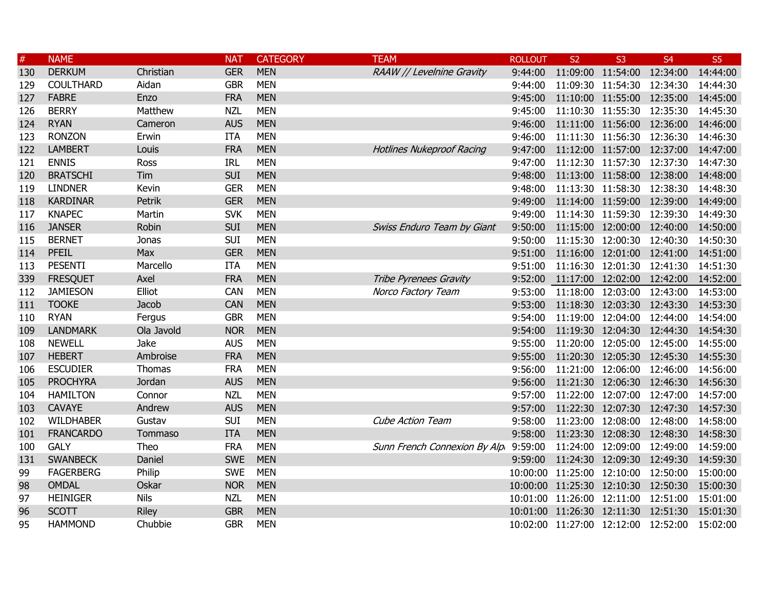| $\#$ | <b>NAME</b>      |             | <b>NAT</b> | <b>CATEGORY</b> | <b>TEAM</b>                          | <b>ROLLOUT</b> | S <sub>2</sub> | S <sub>3</sub>                      | <b>S4</b>                                    | S <sub>5</sub> |
|------|------------------|-------------|------------|-----------------|--------------------------------------|----------------|----------------|-------------------------------------|----------------------------------------------|----------------|
| 130  | <b>DERKUM</b>    | Christian   | <b>GER</b> | <b>MEN</b>      | RAAW // Levelnine Gravity            | 9:44:00        |                | 11:09:00 11:54:00 12:34:00          |                                              | 14:44:00       |
| 129  | <b>COULTHARD</b> | Aidan       | <b>GBR</b> | <b>MEN</b>      |                                      | 9:44:00        |                | 11:09:30 11:54:30 12:34:30          |                                              | 14:44:30       |
| 127  | <b>FABRE</b>     | Enzo        | <b>FRA</b> | <b>MEN</b>      |                                      | 9:45:00        |                | 11:10:00 11:55:00 12:35:00          |                                              | 14:45:00       |
| 126  | <b>BERRY</b>     | Matthew     | <b>NZL</b> | <b>MEN</b>      |                                      | 9:45:00        |                | 11:10:30 11:55:30 12:35:30          |                                              | 14:45:30       |
| 124  | <b>RYAN</b>      | Cameron     | <b>AUS</b> | <b>MEN</b>      |                                      | 9:46:00        |                | 11:11:00 11:56:00 12:36:00          |                                              | 14:46:00       |
| 123  | <b>RONZON</b>    | Erwin       | <b>ITA</b> | <b>MEN</b>      |                                      | 9:46:00        |                | 11:11:30 11:56:30 12:36:30          |                                              | 14:46:30       |
| 122  | <b>LAMBERT</b>   | Louis       | <b>FRA</b> | <b>MEN</b>      | <b>Hotlines Nukeproof Racing</b>     | 9:47:00        |                | 11:12:00 11:57:00 12:37:00          |                                              | 14:47:00       |
| 121  | <b>ENNIS</b>     | Ross        | <b>IRL</b> | <b>MEN</b>      |                                      | 9:47:00        |                | 11:12:30 11:57:30 12:37:30          |                                              | 14:47:30       |
| 120  | <b>BRATSCHI</b>  | Tim         | <b>SUI</b> | <b>MEN</b>      |                                      | 9:48:00        |                | 11:13:00 11:58:00 12:38:00          |                                              | 14:48:00       |
| 119  | <b>LINDNER</b>   | Kevin       | <b>GER</b> | <b>MEN</b>      |                                      | 9:48:00        |                | 11:13:30 11:58:30 12:38:30          |                                              | 14:48:30       |
| 118  | <b>KARDINAR</b>  | Petrik      | <b>GER</b> | <b>MEN</b>      |                                      | 9:49:00        |                | 11:14:00 11:59:00 12:39:00          |                                              | 14:49:00       |
| 117  | <b>KNAPEC</b>    | Martin      | <b>SVK</b> | <b>MEN</b>      |                                      | 9:49:00        |                | 11:14:30 11:59:30 12:39:30          |                                              | 14:49:30       |
| 116  | <b>JANSER</b>    | Robin       | <b>SUI</b> | <b>MEN</b>      | Swiss Enduro Team by Giant           | 9:50:00        |                | 11:15:00 12:00:00 12:40:00          |                                              | 14:50:00       |
| 115  | <b>BERNET</b>    | Jonas       | <b>SUI</b> | <b>MEN</b>      |                                      | 9:50:00        |                | 11:15:30 12:00:30 12:40:30          |                                              | 14:50:30       |
| 114  | <b>PFEIL</b>     | Max         | <b>GER</b> | <b>MEN</b>      |                                      | 9:51:00        |                |                                     | 11:16:00 12:01:00 12:41:00 14:51:00          |                |
| 113  | <b>PESENTI</b>   | Marcello    | <b>ITA</b> | <b>MEN</b>      |                                      | 9:51:00        |                | 11:16:30 12:01:30 12:41:30          |                                              | 14:51:30       |
| 339  | <b>FRESQUET</b>  | Axel        | <b>FRA</b> | <b>MEN</b>      | Tribe Pyrenees Gravity               |                |                | 9:52:00 11:17:00 12:02:00 12:42:00  |                                              | 14:52:00       |
| 112  | <b>JAMIESON</b>  | Elliot      | <b>CAN</b> | <b>MEN</b>      | Norco Factory Team                   | 9:53:00        |                | 11:18:00 12:03:00 12:43:00          |                                              | 14:53:00       |
| 111  | <b>TOOKE</b>     | Jacob       | <b>CAN</b> | <b>MEN</b>      |                                      | 9:53:00        |                | 11:18:30 12:03:30 12:43:30          |                                              | 14:53:30       |
| 110  | <b>RYAN</b>      | Fergus      | <b>GBR</b> | <b>MEN</b>      |                                      | 9:54:00        |                | 11:19:00 12:04:00 12:44:00          |                                              | 14:54:00       |
| 109  | <b>LANDMARK</b>  | Ola Javold  | <b>NOR</b> | <b>MEN</b>      |                                      | 9:54:00        |                | 11:19:30 12:04:30 12:44:30          |                                              | 14:54:30       |
| 108  | <b>NEWELL</b>    | Jake        | <b>AUS</b> | <b>MEN</b>      |                                      | 9:55:00        |                | 11:20:00 12:05:00 12:45:00          |                                              | 14:55:00       |
| 107  | <b>HEBERT</b>    | Ambroise    | <b>FRA</b> | <b>MEN</b>      |                                      | 9:55:00        |                | 11:20:30 12:05:30 12:45:30          |                                              | 14:55:30       |
| 106  | <b>ESCUDIER</b>  | Thomas      | <b>FRA</b> | <b>MEN</b>      |                                      | 9:56:00        |                | 11:21:00 12:06:00 12:46:00          |                                              | 14:56:00       |
| 105  | <b>PROCHYRA</b>  | Jordan      | <b>AUS</b> | <b>MEN</b>      |                                      | 9:56:00        |                | 11:21:30 12:06:30 12:46:30          |                                              | 14:56:30       |
| 104  | <b>HAMILTON</b>  | Connor      | <b>NZL</b> | <b>MEN</b>      |                                      | 9:57:00        |                | 11:22:00 12:07:00 12:47:00          |                                              | 14:57:00       |
| 103  | <b>CAVAYE</b>    | Andrew      | <b>AUS</b> | <b>MEN</b>      |                                      | 9:57:00        |                | 11:22:30 12:07:30 12:47:30          |                                              | 14:57:30       |
| 102  | <b>WILDHABER</b> | Gustav      | <b>SUI</b> | <b>MEN</b>      | <b>Cube Action Team</b>              | 9:58:00        |                | 11:23:00 12:08:00 12:48:00          |                                              | 14:58:00       |
| 101  | <b>FRANCARDO</b> | Tommaso     | <b>ITA</b> | <b>MEN</b>      |                                      | 9:58:00        |                | 11:23:30 12:08:30 12:48:30          |                                              | 14:58:30       |
| 100  | <b>GALY</b>      | Theo        | <b>FRA</b> | <b>MEN</b>      | Sunn French Connexion By Alp 9:59:00 |                |                | 11:24:00 12:09:00 12:49:00          |                                              | 14:59:00       |
| 131  | <b>SWANBECK</b>  | Daniel      | <b>SWE</b> | <b>MEN</b>      |                                      |                |                | 9:59:00 11:24:30 12:09:30 12:49:30  |                                              | 14:59:30       |
| 99   | <b>FAGERBERG</b> | Philip      | <b>SWE</b> | <b>MEN</b>      |                                      |                |                | 10:00:00 11:25:00 12:10:00 12:50:00 |                                              | 15:00:00       |
| 98   | <b>OMDAL</b>     | Oskar       | <b>NOR</b> | <b>MEN</b>      |                                      |                |                | 10:00:00 11:25:30 12:10:30 12:50:30 |                                              | 15:00:30       |
| 97   | <b>HEINIGER</b>  | <b>Nils</b> | <b>NZL</b> | <b>MEN</b>      |                                      |                |                | 10:01:00 11:26:00 12:11:00 12:51:00 |                                              | 15:01:00       |
| 96   | <b>SCOTT</b>     | Riley       | <b>GBR</b> | <b>MEN</b>      |                                      |                |                |                                     | 10:01:00 11:26:30 12:11:30 12:51:30 15:01:30 |                |
| 95   | <b>HAMMOND</b>   | Chubbie     | <b>GBR</b> | <b>MEN</b>      |                                      |                |                | 10:02:00 11:27:00 12:12:00 12:52:00 |                                              | 15:02:00       |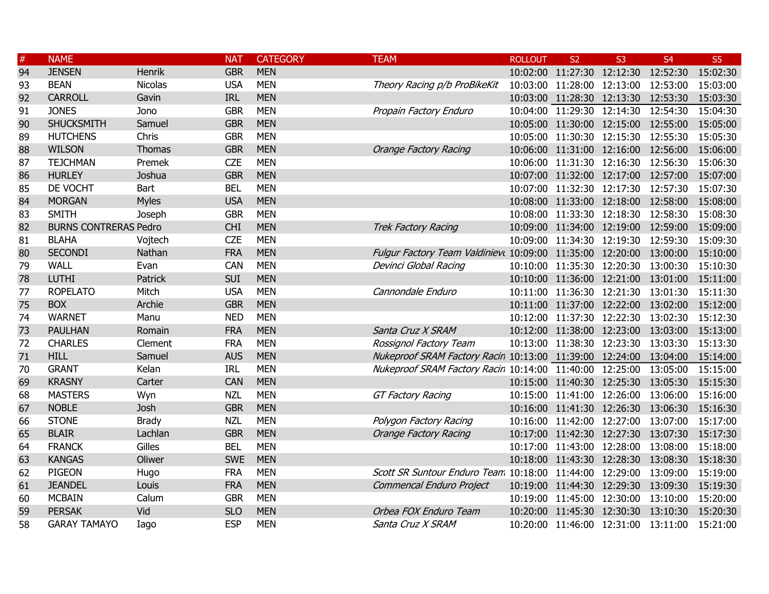| $\#$ | <b>NAME</b>                  |                | <b>NAT</b> | <b>CATEGORY</b> | <b>TEAM</b>                                                        | <b>ROLLOUT</b> | S <sub>2</sub>                      | S <sub>3</sub> | S <sub>4</sub> | S <sub>5</sub> |
|------|------------------------------|----------------|------------|-----------------|--------------------------------------------------------------------|----------------|-------------------------------------|----------------|----------------|----------------|
| 94   | <b>JENSEN</b>                | Henrik         | <b>GBR</b> | <b>MEN</b>      |                                                                    |                | 10:02:00 11:27:30 12:12:30 12:52:30 |                |                | 15:02:30       |
| 93   | <b>BEAN</b>                  | <b>Nicolas</b> | <b>USA</b> | <b>MEN</b>      | Theory Racing p/b ProBikeKit                                       |                | 10:03:00 11:28:00 12:13:00 12:53:00 |                |                | 15:03:00       |
| 92   | <b>CARROLL</b>               | Gavin          | <b>IRL</b> | <b>MEN</b>      |                                                                    |                | 10:03:00 11:28:30 12:13:30 12:53:30 |                |                | 15:03:30       |
| 91   | <b>JONES</b>                 | Jono           | <b>GBR</b> | <b>MEN</b>      | Propain Factory Enduro                                             |                | 10:04:00 11:29:30 12:14:30          |                | 12:54:30       | 15:04:30       |
| 90   | <b>SHUCKSMITH</b>            | Samuel         | <b>GBR</b> | <b>MEN</b>      |                                                                    |                | 10:05:00 11:30:00 12:15:00 12:55:00 |                |                | 15:05:00       |
| 89   | <b>HUTCHENS</b>              | Chris          | <b>GBR</b> | <b>MEN</b>      |                                                                    |                | 10:05:00 11:30:30 12:15:30 12:55:30 |                |                | 15:05:30       |
| 88   | <b>WILSON</b>                | <b>Thomas</b>  | <b>GBR</b> | <b>MEN</b>      | <b>Orange Factory Racing</b>                                       |                | 10:06:00 11:31:00 12:16:00 12:56:00 |                |                | 15:06:00       |
| 87   | <b>TEJCHMAN</b>              | Premek         | <b>CZE</b> | <b>MEN</b>      |                                                                    |                | 10:06:00 11:31:30 12:16:30 12:56:30 |                |                | 15:06:30       |
| 86   | <b>HURLEY</b>                | Joshua         | <b>GBR</b> | <b>MEN</b>      |                                                                    |                | 10:07:00 11:32:00 12:17:00 12:57:00 |                |                | 15:07:00       |
| 85   | DE VOCHT                     | Bart           | <b>BEL</b> | <b>MEN</b>      |                                                                    |                | 10:07:00 11:32:30 12:17:30 12:57:30 |                |                | 15:07:30       |
| 84   | <b>MORGAN</b>                | <b>Myles</b>   | <b>USA</b> | <b>MEN</b>      |                                                                    |                | 10:08:00 11:33:00 12:18:00 12:58:00 |                |                | 15:08:00       |
| 83   | <b>SMITH</b>                 | Joseph         | <b>GBR</b> | <b>MEN</b>      |                                                                    |                | 10:08:00 11:33:30 12:18:30 12:58:30 |                |                | 15:08:30       |
| 82   | <b>BURNS CONTRERAS Pedro</b> |                | <b>CHI</b> | <b>MEN</b>      | <b>Trek Factory Racing</b>                                         |                | 10:09:00 11:34:00 12:19:00 12:59:00 |                |                | 15:09:00       |
| 81   | <b>BLAHA</b>                 | Vojtech        | <b>CZE</b> | <b>MEN</b>      |                                                                    |                | 10:09:00 11:34:30 12:19:30 12:59:30 |                |                | 15:09:30       |
| 80   | <b>SECONDI</b>               | Nathan         | <b>FRA</b> | <b>MEN</b>      | Fulgur Factory Team Valdiniev( 10:09:00 11:35:00 12:20:00 13:00:00 |                |                                     |                |                | 15:10:00       |
| 79   | <b>WALL</b>                  | Evan           | <b>CAN</b> | <b>MEN</b>      | Devinci Global Racing                                              |                | 10:10:00 11:35:30 12:20:30 13:00:30 |                |                | 15:10:30       |
| 78   | <b>LUTHI</b>                 | Patrick        | <b>SUI</b> | <b>MEN</b>      |                                                                    |                | 10:10:00 11:36:00 12:21:00 13:01:00 |                |                | 15:11:00       |
| 77   | <b>ROPELATO</b>              | Mitch          | <b>USA</b> | <b>MEN</b>      | Cannondale Enduro                                                  |                | 10:11:00 11:36:30 12:21:30 13:01:30 |                |                | 15:11:30       |
| 75   | <b>BOX</b>                   | Archie         | <b>GBR</b> | <b>MEN</b>      |                                                                    |                | 10:11:00 11:37:00 12:22:00 13:02:00 |                |                | 15:12:00       |
| 74   | <b>WARNET</b>                | Manu           | <b>NED</b> | <b>MEN</b>      |                                                                    |                | 10:12:00 11:37:30 12:22:30 13:02:30 |                |                | 15:12:30       |
| 73   | <b>PAULHAN</b>               | Romain         | <b>FRA</b> | <b>MEN</b>      | Santa Cruz X SRAM                                                  |                | 10:12:00 11:38:00 12:23:00 13:03:00 |                |                | 15:13:00       |
| 72   | <b>CHARLES</b>               | Clement        | <b>FRA</b> | <b>MEN</b>      | Rossignol Factory Team                                             |                | 10:13:00 11:38:30 12:23:30 13:03:30 |                |                | 15:13:30       |
| 71   | <b>HILL</b>                  | Samuel         | <b>AUS</b> | <b>MEN</b>      | Nukeproof SRAM Factory Racin 10:13:00 11:39:00 12:24:00 13:04:00   |                |                                     |                |                | 15:14:00       |
| 70   | <b>GRANT</b>                 | Kelan          | <b>IRL</b> | <b>MEN</b>      | Nukeproof SRAM Factory Racin 10:14:00 11:40:00 12:25:00 13:05:00   |                |                                     |                |                | 15:15:00       |
| 69   | <b>KRASNY</b>                | Carter         | CAN        | <b>MEN</b>      |                                                                    |                | 10:15:00 11:40:30 12:25:30 13:05:30 |                |                | 15:15:30       |
| 68   | <b>MASTERS</b>               | Wyn            | <b>NZL</b> | <b>MEN</b>      | <b>GT Factory Racing</b>                                           |                | 10:15:00 11:41:00 12:26:00 13:06:00 |                |                | 15:16:00       |
| 67   | <b>NOBLE</b>                 | Josh           | <b>GBR</b> | <b>MEN</b>      |                                                                    |                | 10:16:00 11:41:30 12:26:30 13:06:30 |                |                | 15:16:30       |
| 66   | <b>STONE</b>                 | <b>Brady</b>   | <b>NZL</b> | <b>MEN</b>      | Polygon Factory Racing                                             |                | 10:16:00 11:42:00 12:27:00 13:07:00 |                |                | 15:17:00       |
| 65   | <b>BLAIR</b>                 | Lachlan        | <b>GBR</b> | <b>MEN</b>      | <b>Orange Factory Racing</b>                                       |                | 10:17:00 11:42:30 12:27:30 13:07:30 |                |                | 15:17:30       |
| 64   | <b>FRANCK</b>                | Gilles         | <b>BEL</b> | <b>MEN</b>      |                                                                    |                | 10:17:00 11:43:00 12:28:00 13:08:00 |                |                | 15:18:00       |
| 63   | <b>KANGAS</b>                | Oliwer         | <b>SWE</b> | <b>MEN</b>      |                                                                    |                | 10:18:00 11:43:30 12:28:30 13:08:30 |                |                | 15:18:30       |
| 62   | PIGEON                       | Hugo           | <b>FRA</b> | <b>MEN</b>      | Scott SR Suntour Enduro Team. 10:18:00 11:44:00 12:29:00 13:09:00  |                |                                     |                |                | 15:19:00       |
| 61   | <b>JEANDEL</b>               | Louis          | <b>FRA</b> | <b>MEN</b>      | Commencal Enduro Project                                           |                | 10:19:00 11:44:30 12:29:30 13:09:30 |                |                | 15:19:30       |
| 60   | <b>MCBAIN</b>                | Calum          | <b>GBR</b> | <b>MEN</b>      |                                                                    |                | 10:19:00 11:45:00 12:30:00 13:10:00 |                |                | 15:20:00       |
| 59   | <b>PERSAK</b>                | Vid            | <b>SLO</b> | <b>MEN</b>      | Orbea FOX Enduro Team                                              |                | 10:20:00 11:45:30 12:30:30 13:10:30 |                |                | 15:20:30       |
| 58   | <b>GARAY TAMAYO</b>          | Iago           | <b>ESP</b> | <b>MEN</b>      | Santa Cruz X SRAM                                                  |                | 10:20:00 11:46:00 12:31:00 13:11:00 |                |                | 15:21:00       |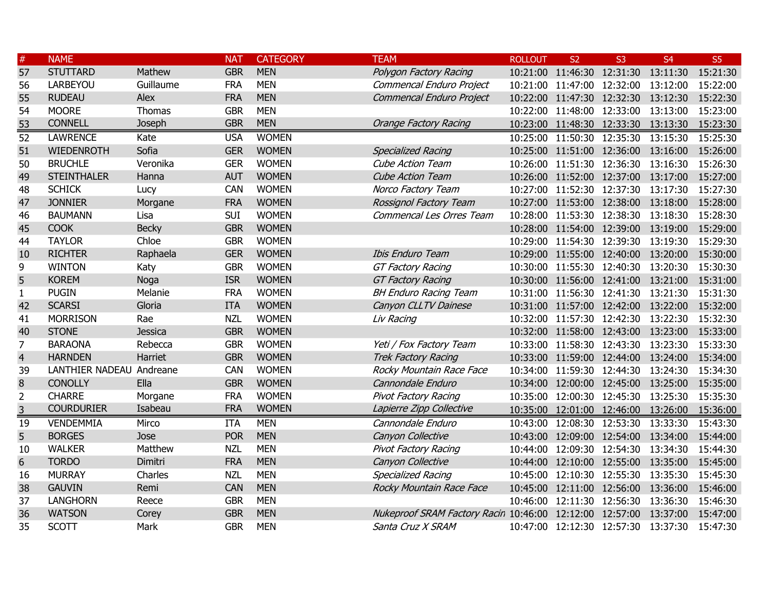| $\#$            | <b>NAME</b>              |                | <b>NAT</b> | <b>CATEGORY</b> | <b>TEAM</b>                                                      | <b>ROLLOUT</b> | S <sub>2</sub>                      | S <sub>3</sub> | <b>S4</b>                                    | S <sub>5</sub> |
|-----------------|--------------------------|----------------|------------|-----------------|------------------------------------------------------------------|----------------|-------------------------------------|----------------|----------------------------------------------|----------------|
| 57              | <b>STUTTARD</b>          | Mathew         | <b>GBR</b> | <b>MEN</b>      | Polygon Factory Racing                                           |                | 10:21:00 11:46:30 12:31:30 13:11:30 |                |                                              | 15:21:30       |
| 56              | LARBEYOU                 | Guillaume      | <b>FRA</b> | <b>MEN</b>      | Commencal Enduro Project                                         |                | 10:21:00 11:47:00 12:32:00 13:12:00 |                |                                              | 15:22:00       |
| 55              | <b>RUDEAU</b>            | Alex           | <b>FRA</b> | <b>MEN</b>      | Commencal Enduro Project                                         |                | 10:22:00 11:47:30 12:32:30 13:12:30 |                |                                              | 15:22:30       |
| 54              | <b>MOORE</b>             | Thomas         | <b>GBR</b> | <b>MEN</b>      |                                                                  |                | 10:22:00 11:48:00 12:33:00 13:13:00 |                |                                              | 15:23:00       |
| 53              | <b>CONNELL</b>           | Joseph         | <b>GBR</b> | <b>MEN</b>      | <b>Orange Factory Racing</b>                                     |                | 10:23:00 11:48:30 12:33:30 13:13:30 |                |                                              | 15:23:30       |
| $\overline{52}$ | <b>LAWRENCE</b>          | Kate           | <b>USA</b> | <b>WOMEN</b>    |                                                                  |                | 10:25:00 11:50:30 12:35:30          |                | 13:15:30                                     | 15:25:30       |
| 51              | <b>WIEDENROTH</b>        | Sofia          | <b>GER</b> | <b>WOMEN</b>    | <b>Specialized Racing</b>                                        |                | 10:25:00 11:51:00 12:36:00 13:16:00 |                |                                              | 15:26:00       |
| 50              | <b>BRUCHLE</b>           | Veronika       | <b>GER</b> | <b>WOMEN</b>    | <b>Cube Action Team</b>                                          |                | 10:26:00 11:51:30 12:36:30 13:16:30 |                |                                              | 15:26:30       |
| 49              | <b>STEINTHALER</b>       | Hanna          | <b>AUT</b> | <b>WOMEN</b>    | <b>Cube Action Team</b>                                          |                |                                     |                | 10:26:00 11:52:00 12:37:00 13:17:00 15:27:00 |                |
| 48              | <b>SCHICK</b>            | Lucy           | <b>CAN</b> | <b>WOMEN</b>    | Norco Factory Team                                               |                | 10:27:00 11:52:30 12:37:30 13:17:30 |                |                                              | 15:27:30       |
| 47              | <b>JONNIER</b>           | Morgane        | <b>FRA</b> | <b>WOMEN</b>    | Rossignol Factory Team                                           |                |                                     |                | 10:27:00 11:53:00 12:38:00 13:18:00 15:28:00 |                |
| 46              | <b>BAUMANN</b>           | Lisa           | SUI        | <b>WOMEN</b>    | Commencal Les Orres Team                                         |                | 10:28:00 11:53:30 12:38:30 13:18:30 |                |                                              | 15:28:30       |
| 45              | <b>COOK</b>              | <b>Becky</b>   | <b>GBR</b> | <b>WOMEN</b>    |                                                                  |                |                                     |                | 10:28:00 11:54:00 12:39:00 13:19:00 15:29:00 |                |
| 44              | <b>TAYLOR</b>            | Chloe          | <b>GBR</b> | <b>WOMEN</b>    |                                                                  |                | 10:29:00 11:54:30 12:39:30 13:19:30 |                |                                              | 15:29:30       |
| 10              | <b>RICHTER</b>           | Raphaela       | <b>GER</b> | <b>WOMEN</b>    | <b>Ibis Enduro Team</b>                                          |                |                                     |                | 10:29:00 11:55:00 12:40:00 13:20:00 15:30:00 |                |
| 9               | <b>WINTON</b>            | Katy           | <b>GBR</b> | <b>WOMEN</b>    | <b>GT Factory Racing</b>                                         |                | 10:30:00 11:55:30 12:40:30 13:20:30 |                |                                              | 15:30:30       |
| 5               | <b>KOREM</b>             | Noga           | <b>ISR</b> | <b>WOMEN</b>    | <b>GT Factory Racing</b>                                         |                |                                     |                | 10:30:00 11:56:00 12:41:00 13:21:00 15:31:00 |                |
| $\mathbf{1}$    | <b>PUGIN</b>             | Melanie        | <b>FRA</b> | <b>WOMEN</b>    | <b>BH Enduro Racing Team</b>                                     |                | 10:31:00 11:56:30 12:41:30 13:21:30 |                |                                              | 15:31:30       |
| 42              | <b>SCARSI</b>            | Gloria         | <b>ITA</b> | <b>WOMEN</b>    | Canyon CLLTV Dainese                                             |                | 10:31:00 11:57:00 12:42:00 13:22:00 |                |                                              | 15:32:00       |
| 41              | <b>MORRISON</b>          | Rae            | <b>NZL</b> | <b>WOMEN</b>    | Liv Racing                                                       |                | 10:32:00 11:57:30 12:42:30 13:22:30 |                |                                              | 15:32:30       |
| 40              | <b>STONE</b>             | <b>Jessica</b> | <b>GBR</b> | <b>WOMEN</b>    |                                                                  |                | 10:32:00 11:58:00 12:43:00 13:23:00 |                |                                              | 15:33:00       |
| $\overline{7}$  | <b>BARAONA</b>           | Rebecca        | <b>GBR</b> | <b>WOMEN</b>    | Yeti / Fox Factory Team                                          |                | 10:33:00 11:58:30 12:43:30 13:23:30 |                |                                              | 15:33:30       |
| $\overline{4}$  | <b>HARNDEN</b>           | Harriet        | <b>GBR</b> | <b>WOMEN</b>    | <b>Trek Factory Racing</b>                                       |                | 10:33:00 11:59:00 12:44:00 13:24:00 |                |                                              | 15:34:00       |
| 39              | LANTHIER NADEAU Andreane |                | CAN        | <b>WOMEN</b>    | Rocky Mountain Race Face                                         |                | 10:34:00 11:59:30 12:44:30 13:24:30 |                |                                              | 15:34:30       |
| 8               | <b>CONOLLY</b>           | Ella           | <b>GBR</b> | <b>WOMEN</b>    | Cannondale Enduro                                                |                | 10:34:00 12:00:00 12:45:00 13:25:00 |                |                                              | 15:35:00       |
| $\overline{2}$  | <b>CHARRE</b>            | Morgane        | <b>FRA</b> | <b>WOMEN</b>    | <b>Pivot Factory Racing</b>                                      |                | 10:35:00 12:00:30 12:45:30 13:25:30 |                |                                              | 15:35:30       |
| 3               | <b>COURDURIER</b>        | Isabeau        | <b>FRA</b> | <b>WOMEN</b>    | Lapierre Zipp Collective                                         |                | 10:35:00 12:01:00 12:46:00 13:26:00 |                |                                              | 15:36:00       |
| 19              | <b>VENDEMMIA</b>         | Mirco          | <b>ITA</b> | <b>MEN</b>      | Cannondale Enduro                                                |                | 10:43:00 12:08:30 12:53:30 13:33:30 |                |                                              | 15:43:30       |
| 5               | <b>BORGES</b>            | Jose           | <b>POR</b> | <b>MEN</b>      | Canyon Collective                                                |                | 10:43:00 12:09:00 12:54:00 13:34:00 |                |                                              | 15:44:00       |
| 10              | <b>WALKER</b>            | Matthew        | <b>NZL</b> | <b>MEN</b>      | Pivot Factory Racing                                             |                | 10:44:00 12:09:30 12:54:30 13:34:30 |                |                                              | 15:44:30       |
| 6               | <b>TORDO</b>             | Dimitri        | <b>FRA</b> | <b>MEN</b>      | Canyon Collective                                                |                | 10:44:00 12:10:00 12:55:00 13:35:00 |                |                                              | 15:45:00       |
| 16              | <b>MURRAY</b>            | Charles        | <b>NZL</b> | <b>MEN</b>      | Specialized Racing                                               |                | 10:45:00 12:10:30 12:55:30 13:35:30 |                |                                              | 15:45:30       |
| 38              | <b>GAUVIN</b>            | Remi           | <b>CAN</b> | <b>MEN</b>      | Rocky Mountain Race Face                                         |                | 10:45:00 12:11:00 12:56:00 13:36:00 |                |                                              | 15:46:00       |
| 37              | <b>LANGHORN</b>          | Reece          | <b>GBR</b> | <b>MEN</b>      |                                                                  |                | 10:46:00 12:11:30 12:56:30 13:36:30 |                |                                              | 15:46:30       |
| 36              | <b>WATSON</b>            | Corey          | <b>GBR</b> | <b>MEN</b>      | Nukeproof SRAM Factory Racin 10:46:00 12:12:00 12:57:00 13:37:00 |                |                                     |                |                                              | 15:47:00       |
| 35              | <b>SCOTT</b>             | Mark           | <b>GBR</b> | <b>MEN</b>      | Santa Cruz X SRAM                                                |                | 10:47:00 12:12:30 12:57:30 13:37:30 |                |                                              | 15:47:30       |